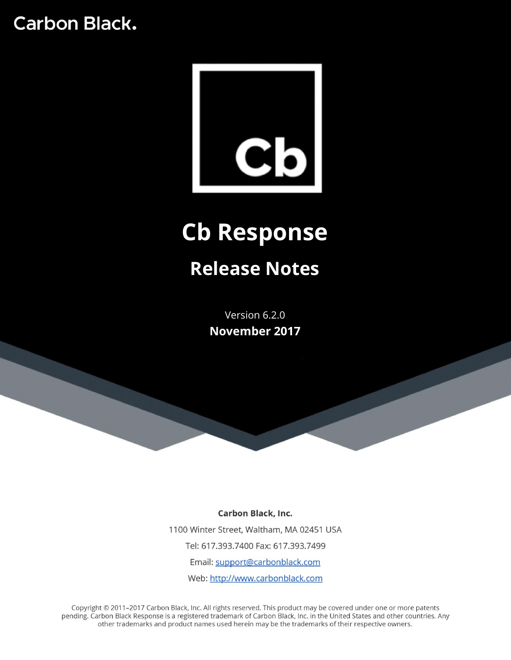

# **Cb Response**

# **Release Notes**

Version 6.2.0 **November 2017**

Carbon Black, Inc. 1100 Winter Street, Waltham, MA 02451 USA Tel: 617.393.7400 Fax: 617.393.7499 Email: support@carbonblack.com Web: http://www.carbonblack.com

Copyright © 2011-2017 Carbon Black, Inc. All rights reserved. This product may be covered under one or more patents pending. Carbon Black Response is a registered trademark of Carbon Black, Inc. in the United States and other countries. Any other trademarks and product names used herein may be the trademarks of their respective owners.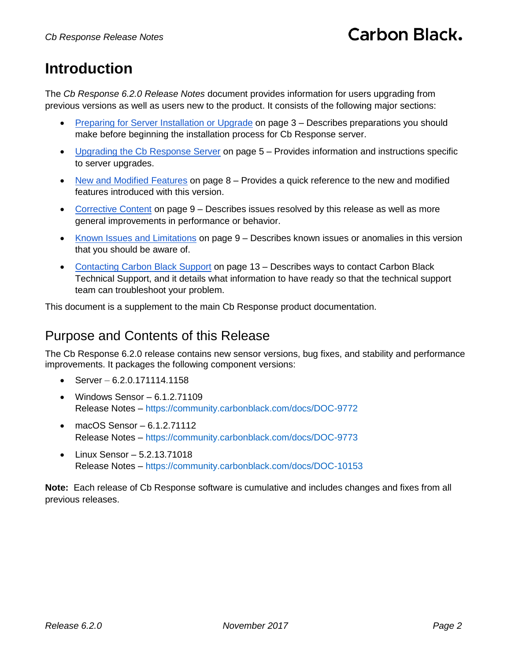# **Introduction**

The *Cb Response 6.2.0 Release Notes* document provides information for users upgrading from previous versions as well as users new to the product. It consists of the following major sections:

- [Preparing for Server Installation or Upgrade](#page-2-0) on page [3](#page-2-0) Describes preparations you should make before beginning the installation process for Cb Response server.
- [Upgrading the Cb Response Server](#page-4-0) on page [5](#page-4-0) Provides information and instructions specific to server upgrades.
- [New and Modified Features](#page-7-0) on page [8](#page-7-0) Provides a quick reference to the new and modified features introduced with this version.
- [Corrective Content](#page-8-0) on page [9](#page-8-0) Describes issues resolved by this release as well as more general improvements in performance or behavior.
- [Known Issues and Limitations](#page-8-1) on page [9](#page-8-1) Describes known issues or anomalies in this version that you should be aware of.
- [Contacting Carbon Black Support](#page-12-0) on page [13](#page-12-0) Describes ways to contact Carbon Black Technical Support, and it details what information to have ready so that the technical support team can troubleshoot your problem.

This document is a supplement to the main Cb Response product documentation.

### Purpose and Contents of this Release

The Cb Response 6.2.0 release contains new sensor versions, bug fixes, and stability and performance improvements. It packages the following component versions:

- Server 6.2.0.171114.1158
- Windows Sensor 6.1.2.71109 Release Notes – <https://community.carbonblack.com/docs/DOC-9772>
- $\bullet$  macOS Sensor 6.1.2.71112 Release Notes – <https://community.carbonblack.com/docs/DOC-9773>
- $\bullet$  Linux Sensor 5.2.13.71018 Release Notes – <https://community.carbonblack.com/docs/DOC-10153>

**Note:** Each release of Cb Response software is cumulative and includes changes and fixes from all previous releases.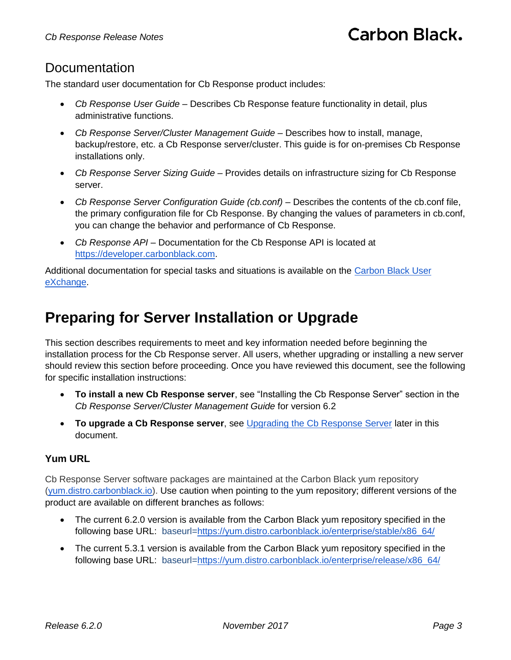### **Documentation**

The standard user documentation for Cb Response product includes:

- *Cb Response User Guide* Describes Cb Response feature functionality in detail, plus administrative functions.
- Cb Response Server/Cluster Management Guide Describes how to install, manage, backup/restore, etc. a Cb Response server/cluster. This guide is for on-premises Cb Response installations only.
- *Cb Response Server Sizing Guide* Provides details on infrastructure sizing for Cb Response server.
- *Cb Response Server Configuration Guide (cb.conf)* Describes the contents of the cb.conf file, the primary configuration file for Cb Response. By changing the values of parameters in cb.conf, you can change the behavior and performance of Cb Response.
- *Cb Response API* Documentation for the Cb Response API is located a[t](https://github.com/carbonblack/cbapi) [https://developer.carbonblack.com.](https://developer.carbonblack.com/)

Additional documentation for special tasks and situations is available on the Carbon Black User [eXchange.](https://community.carbonblack.com/)

# <span id="page-2-0"></span>**Preparing for Server Installation or Upgrade**

This section describes requirements to meet and key information needed before beginning the installation process for the Cb Response server. All users, whether upgrading or installing a new server should review this section before proceeding. Once you have reviewed this document, see the following for specific installation instructions:

- **To install a new Cb Response server**, see "Installing the Cb Response Server" section in the *Cb Response Server/Cluster Management Guide* for version 6.2
- **To upgrade a Cb Response server**, see [Upgrading the Cb Response Server](#page-4-0) later in this document.

#### **Yum URL**

Cb Response Server software packages are maintained at the Carbon Black yum repository [\(yum.distro.carbonblack.io\)](http://yum.distro.carbonblack.io/). Use caution when pointing to the yum repository; different versions of the product are available on different branches as follows:

- The current 6.2.0 version is available from the Carbon Black yum repository specified in the following base URL: baseurl[=https://yum.distro.carbonblack.io/enterprise/stable/x86\\_64/](https://yum.distro.carbonblack.io/enterprise/stable/x86_64/)
- The current 5.3.1 version is available from the Carbon Black yum repository specified in the following base URL: baseurl[=https://yum.distro.carbonblack.io/enterprise/release/x86\\_64/](https://yum.distro.carbonblack.io/enterprise/stable/x86_64/)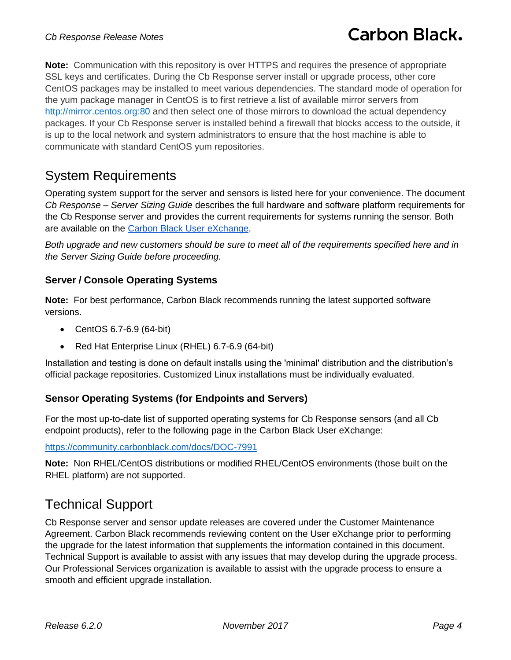**Note:** Communication with this repository is over HTTPS and requires the presence of appropriate SSL keys and certificates. During the Cb Response server install or upgrade process, other core CentOS packages may be installed to meet various dependencies. The standard mode of operation for the yum package manager in CentOS is to first retrieve a list of available mirror servers from [http://mirror.centos.org:80](http://mirror.centos.org/) and then select one of those mirrors to download the actual dependency packages. If your Cb Response server is installed behind a firewall that blocks access to the outside, it is up to the local network and system administrators to ensure that the host machine is able to communicate with standard CentOS yum repositories.

### System Requirements

Operating system support for the server and sensors is listed here for your convenience. The document *Cb Response – Server Sizing Guide* describes the full hardware and software platform requirements for the Cb Response server and provides the current requirements for systems running the sensor. Both are available on the [Carbon Black User](https://community.carbonblack.com/) eXchange.

*Both upgrade and new customers should be sure to meet all of the requirements specified here and in the Server Sizing Guide before proceeding.*

#### **Server / Console Operating Systems**

**Note:** For best performance, Carbon Black recommends running the latest supported software versions.

- CentOS 6.7-6.9 (64-bit)
- Red Hat Enterprise Linux (RHEL) 6.7-6.9 (64-bit)

Installation and testing is done on default installs using the 'minimal' distribution and the distribution's official package repositories. Customized Linux installations must be individually evaluated.

#### **Sensor Operating Systems (for Endpoints and Servers)**

For the most up-to-date list of supported operating systems for Cb Response sensors (and all Cb endpoint products), refer to the following page in the Carbon Black User eXchange:

<https://community.carbonblack.com/docs/DOC-7991>

**Note:** Non RHEL/CentOS distributions or modified RHEL/CentOS environments (those built on the RHEL platform) are not supported.

### Technical Support

Cb Response server and sensor update releases are covered under the Customer Maintenance Agreement. Carbon Black recommends reviewing content on the User eXchange prior to performing the upgrade for the latest information that supplements the information contained in this document. Technical Support is available to assist with any issues that may develop during the upgrade process. Our Professional Services organization is available to assist with the upgrade process to ensure a smooth and efficient upgrade installation.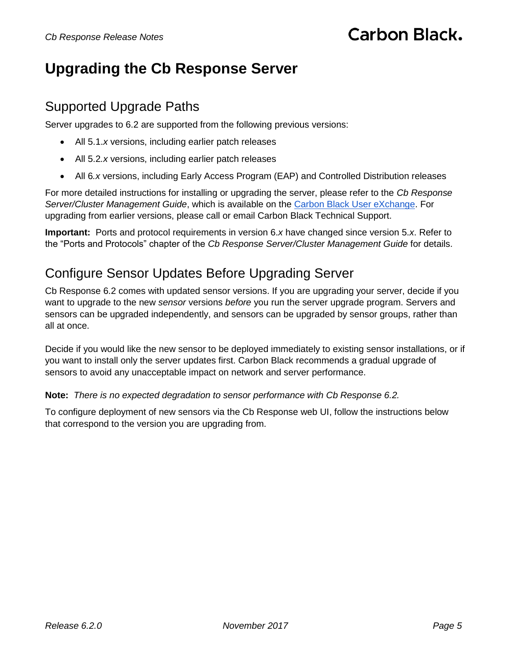# <span id="page-4-0"></span>**Upgrading the Cb Response Server**

### Supported Upgrade Paths

Server upgrades to 6.2 are supported from the following previous versions:

- All 5.1.*x* versions, including earlier patch releases
- All 5.2*.x* versions, including earlier patch releases
- All 6*.x* versions, including Early Access Program (EAP) and Controlled Distribution releases

For more detailed instructions for installing or upgrading the server, please refer to the *Cb Response Server/Cluster Management Guide*, which is available on the [Carbon Black User eXchange.](https://community.carbonblack.com/) For upgrading from earlier versions, please call or email Carbon Black Technical Support.

**Important:** Ports and protocol requirements in version 6.*x* have changed since version 5.*x*. Refer to the "Ports and Protocols" chapter of the *Cb Response Server/Cluster Management Guide* for details.

### Configure Sensor Updates Before Upgrading Server

Cb Response 6.2 comes with updated sensor versions. If you are upgrading your server, decide if you want to upgrade to the new *sensor* versions *before* you run the server upgrade program. Servers and sensors can be upgraded independently, and sensors can be upgraded by sensor groups, rather than all at once.

Decide if you would like the new sensor to be deployed immediately to existing sensor installations, or if you want to install only the server updates first. Carbon Black recommends a gradual upgrade of sensors to avoid any unacceptable impact on network and server performance.

**Note:** *There is no expected degradation to sensor performance with Cb Response 6.2.*

To configure deployment of new sensors via the Cb Response web UI, follow the instructions below that correspond to the version you are upgrading from.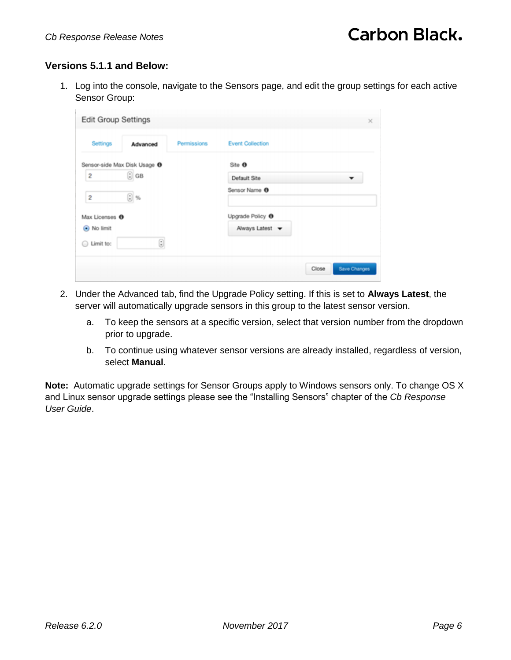#### **Versions 5.1.1 and Below:**

1. Log into the console, navigate to the Sensors page, and edit the group settings for each active Sensor Group:

| <b>Edit Group Settings</b>                                                           |          |             |                             | ×                     |
|--------------------------------------------------------------------------------------|----------|-------------|-----------------------------|-----------------------|
| Settings                                                                             | Advanced | Permissions | <b>Event Collection</b>     |                       |
| Sensor-side Max Disk Usage <sup>O</sup>                                              |          |             | Site <sup>O</sup>           |                       |
| $\odot$ GB<br>$\overline{\mathbf{c}}$<br>$\boxed{\div}$ %<br>$\overline{\mathbf{2}}$ |          |             | Default Site                | ▼                     |
|                                                                                      |          |             | Sensor Name <sup>O</sup>    |                       |
| Max Licenses <sup>O</sup>                                                            |          |             | Upgrade Policy <sup>O</sup> |                       |
| (a) No limit                                                                         |          |             | Always Latest -             |                       |
| Limit to:<br>⊙                                                                       | 0        |             |                             |                       |
|                                                                                      |          |             |                             | Save Changes<br>Close |

- 2. Under the Advanced tab, find the Upgrade Policy setting. If this is set to **Always Latest**, the server will automatically upgrade sensors in this group to the latest sensor version.
	- a. To keep the sensors at a specific version, select that version number from the dropdown prior to upgrade.
	- b. To continue using whatever sensor versions are already installed, regardless of version, select **Manual**.

**Note:** Automatic upgrade settings for Sensor Groups apply to Windows sensors only. To change OS X and Linux sensor upgrade settings please see the "Installing Sensors" chapter of the *Cb Response User Guide*.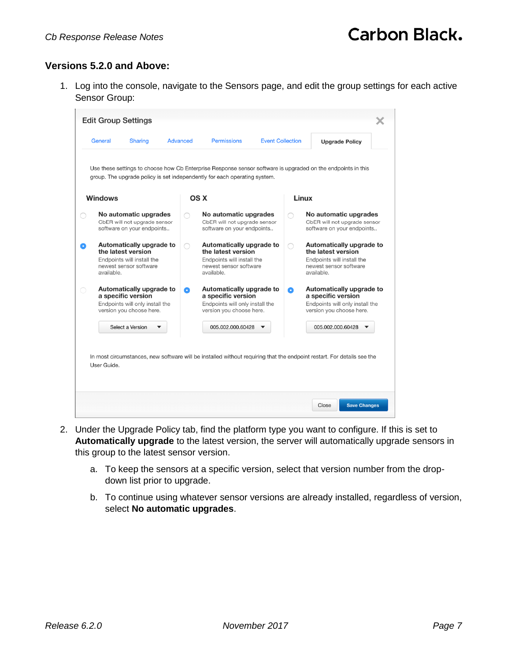#### **Versions 5.2.0 and Above:**

1. Log into the console, navigate to the Sensors page, and edit the group settings for each active Sensor Group:



- 2. Under the Upgrade Policy tab, find the platform type you want to configure. If this is set to **Automatically upgrade** to the latest version, the server will automatically upgrade sensors in this group to the latest sensor version.
	- a. To keep the sensors at a specific version, select that version number from the dropdown list prior to upgrade.
	- b. To continue using whatever sensor versions are already installed, regardless of version, select **No automatic upgrades**.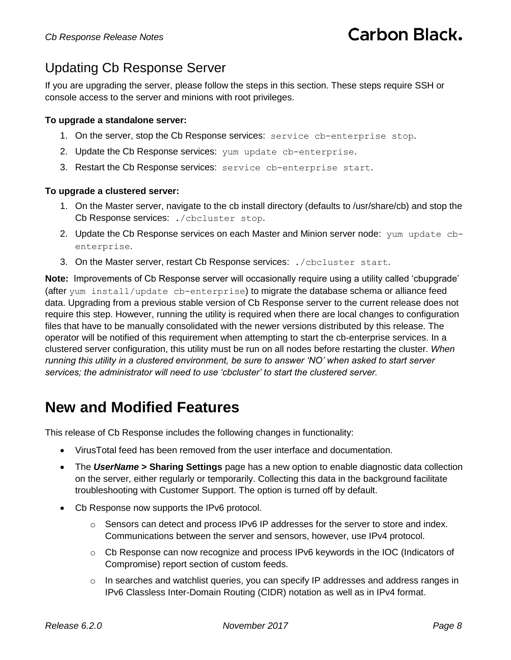# Updating Cb Response Server

If you are upgrading the server, please follow the steps in this section. These steps require SSH or console access to the server and minions with root privileges.

#### **To upgrade a standalone server:**

- 1. On the server, stop the Cb Response services: service cb-enterprise stop.
- 2. Update the Cb Response services: yum update cb-enterprise.
- 3. Restart the Cb Response services: service cb-enterprise start.

#### **To upgrade a clustered server:**

- 1. On the Master server, navigate to the cb install directory (defaults to /usr/share/cb) and stop the Cb Response services: ./cbcluster stop.
- 2. Update the Cb Response services on each Master and Minion server node: yum update cbenterprise.
- 3. On the Master server, restart Cb Response services: ./cbcluster start.

**Note:** Improvements of Cb Response server will occasionally require using a utility called 'cbupgrade' (after yum install/update cb-enterprise) to migrate the database schema or alliance feed data. Upgrading from a previous stable version of Cb Response server to the current release does not require this step. However, running the utility is required when there are local changes to configuration files that have to be manually consolidated with the newer versions distributed by this release. The operator will be notified of this requirement when attempting to start the cb-enterprise services. In a clustered server configuration, this utility must be run on all nodes before restarting the cluster. *When running this utility in a clustered environment, be sure to answer 'NO' when asked to start server services; the administrator will need to use 'cbcluster' to start the clustered server.*

# <span id="page-7-0"></span>**New and Modified Features**

This release of Cb Response includes the following changes in functionality:

- VirusTotal feed has been removed from the user interface and documentation.
- The *UserName* **> Sharing Settings** page has a new option to enable diagnostic data collection on the server, either regularly or temporarily. Collecting this data in the background facilitate troubleshooting with Customer Support. The option is turned off by default.
- Cb Response now supports the IPv6 protocol.
	- $\circ$  Sensors can detect and process IPv6 IP addresses for the server to store and index. Communications between the server and sensors, however, use IPv4 protocol.
	- $\circ$  Cb Response can now recognize and process IPv6 keywords in the IOC (Indicators of Compromise) report section of custom feeds.
	- $\circ$  In searches and watchlist queries, you can specify IP addresses and address ranges in IPv6 Classless Inter-Domain Routing (CIDR) notation as well as in IPv4 format.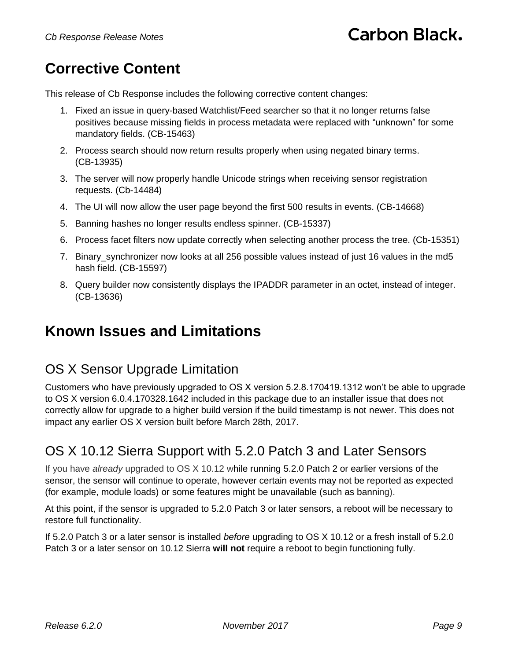# <span id="page-8-0"></span>**Corrective Content**

This release of Cb Response includes the following corrective content changes:

- 1. Fixed an issue in query-based Watchlist/Feed searcher so that it no longer returns false positives because missing fields in process metadata were replaced with "unknown" for some mandatory fields. (CB-15463)
- 2. Process search should now return results properly when using negated binary terms. (CB-13935)
- 3. The server will now properly handle Unicode strings when receiving sensor registration requests. (Cb-14484)
- 4. The UI will now allow the user page beyond the first 500 results in events. (CB-14668)
- 5. Banning hashes no longer results endless spinner. (CB-15337)
- 6. Process facet filters now update correctly when selecting another process the tree. (Cb-15351)
- 7. Binary\_synchronizer now looks at all 256 possible values instead of just 16 values in the md5 hash field. (CB-15597)
- 8. Query builder now consistently displays the IPADDR parameter in an octet, instead of integer. (CB-13636)

# <span id="page-8-1"></span>**Known Issues and Limitations**

### OS X Sensor Upgrade Limitation

Customers who have previously upgraded to OS X version 5.2.8.170419.1312 won't be able to upgrade to OS X version 6.0.4.170328.1642 included in this package due to an installer issue that does not correctly allow for upgrade to a higher build version if the build timestamp is not newer. This does not impact any earlier OS X version built before March 28th, 2017.

### OS X 10.12 Sierra Support with 5.2.0 Patch 3 and Later Sensors

If you have *already* upgraded to OS X 10.12 while running 5.2.0 Patch 2 or earlier versions of the sensor, the sensor will continue to operate, however certain events may not be reported as expected (for example, module loads) or some features might be unavailable (such as banning).

At this point, if the sensor is upgraded to 5.2.0 Patch 3 or later sensors, a reboot will be necessary to restore full functionality.

If 5.2.0 Patch 3 or a later sensor is installed *before* upgrading to OS X 10.12 or a fresh install of 5.2.0 Patch 3 or a later sensor on 10.12 Sierra **will not** require a reboot to begin functioning fully.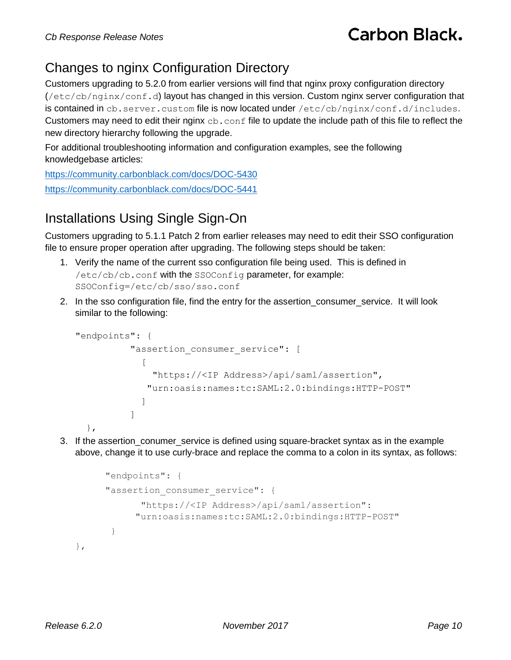# Changes to nginx Configuration Directory

Customers upgrading to 5.2.0 from earlier versions will find that nginx proxy configuration directory (/etc/cb/nginx/conf.d) layout has changed in this version. Custom nginx server configuration that is contained in cb.server.custom file is now located under /etc/cb/nginx/conf.d/includes. Customers may need to edit their nginx  $cb$ , confiile to update the include path of this file to reflect the new directory hierarchy following the upgrade.

For additional troubleshooting information and configuration examples, see the following knowledgebase articles:

<https://community.carbonblack.com/docs/DOC-5430> <https://community.carbonblack.com/docs/DOC-5441>

# Installations Using Single Sign-On

Customers upgrading to 5.1.1 Patch 2 from earlier releases may need to edit their SSO configuration file to ensure proper operation after upgrading. The following steps should be taken:

- 1. Verify the name of the current sso configuration file being used. This is defined in /etc/cb/cb.conf with the SSOConfig parameter, for example: SSOConfig=/etc/cb/sso/sso.conf
- 2. In the sso configuration file, find the entry for the assertion\_consumer\_service. It will look similar to the following:

```
"endpoints": {
        "assertion consumer service": [
[[]
             "https://<IP Address>/api/saml/assertion",
            "urn:oasis:names:tc:SAML:2.0:bindings:HTTP-POST"
 ]
 ]
  },
```
3. If the assertion\_conumer\_service is defined using square-bracket syntax as in the example above, change it to use curly-brace and replace the comma to a colon in its syntax, as follows:

```
"endpoints": {
"assertion consumer service": {
      "https://<IP Address>/api/saml/assertion":
     "urn:oasis:names:tc:SAML:2.0:bindings:HTTP-POST"
 }
```
},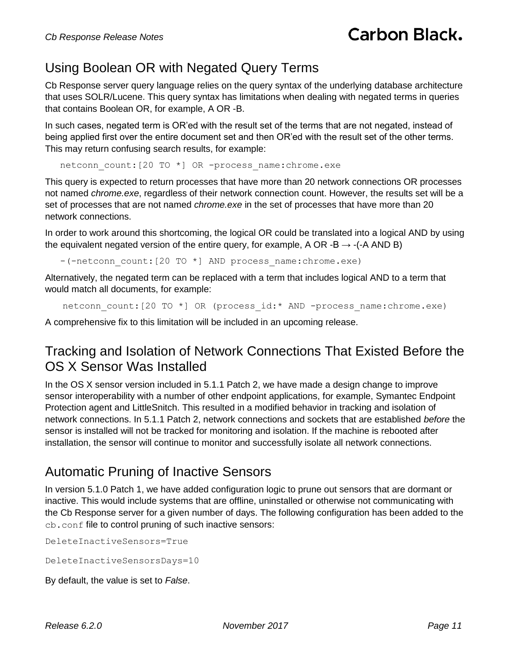### Using Boolean OR with Negated Query Terms

Cb Response server query language relies on the query syntax of the underlying database architecture that uses SOLR/Lucene. This query syntax has limitations when dealing with negated terms in queries that contains Boolean OR, for example, A OR -B.

In such cases, negated term is OR'ed with the result set of the terms that are not negated, instead of being applied first over the entire document set and then OR'ed with the result set of the other terms. This may return confusing search results, for example:

netconn count: [20 TO \*] OR -process name: chrome.exe

This query is expected to return processes that have more than 20 network connections OR processes not named *chrome.exe*, regardless of their network connection count. However, the results set will be a set of processes that are not named *chrome.exe* in the set of processes that have more than 20 network connections.

In order to work around this shortcoming, the logical OR could be translated into a logical AND by using the equivalent negated version of the entire query, for example, A OR -B  $\rightarrow$  -(-A AND B)

-(-netconn count: [20 TO \*] AND process name: chrome.exe)

Alternatively, the negated term can be replaced with a term that includes logical AND to a term that would match all documents, for example:

netconn\_count:[20 TO \*] OR (process\_id:\* AND -process\_name:chrome.exe)

A comprehensive fix to this limitation will be included in an upcoming release.

### Tracking and Isolation of Network Connections That Existed Before the OS X Sensor Was Installed

In the OS X sensor version included in 5.1.1 Patch 2, we have made a design change to improve sensor interoperability with a number of other endpoint applications, for example, Symantec Endpoint Protection agent and LittleSnitch. This resulted in a modified behavior in tracking and isolation of network connections. In 5.1.1 Patch 2, network connections and sockets that are established *before* the sensor is installed will not be tracked for monitoring and isolation. If the machine is rebooted after installation, the sensor will continue to monitor and successfully isolate all network connections.

### Automatic Pruning of Inactive Sensors

In version 5.1.0 Patch 1, we have added configuration logic to prune out sensors that are dormant or inactive. This would include systems that are offline, uninstalled or otherwise not communicating with the Cb Response server for a given number of days. The following configuration has been added to the cb.conf file to control pruning of such inactive sensors:

DeleteInactiveSensors=True

DeleteInactiveSensorsDays=10

By default, the value is set to *False*.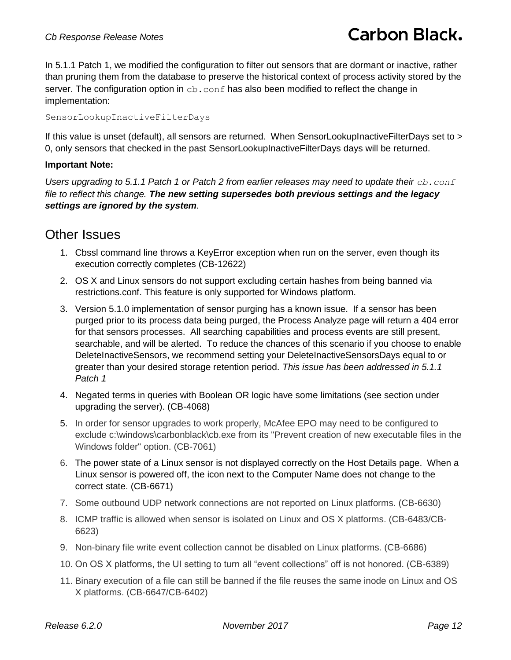In 5.1.1 Patch 1, we modified the configuration to filter out sensors that are dormant or inactive, rather than pruning them from the database to preserve the historical context of process activity stored by the server. The configuration option in  $cb$ , confination been modified to reflect the change in implementation:

SensorLookupInactiveFilterDays

If this value is unset (default), all sensors are returned. When SensorLookupInactiveFilterDays set to > 0, only sensors that checked in the past SensorLookupInactiveFilterDays days will be returned.

#### **Important Note:**

*Users upgrading to 5.1.1 Patch 1 or Patch 2 from earlier releases may need to update their cb.conf file to reflect this change. The new setting supersedes both previous settings and the legacy settings are ignored by the system.*

### Other Issues

- 1. Cbssl command line throws a KeyError exception when run on the server, even though its execution correctly completes (CB-12622)
- 2. OS X and Linux sensors do not support excluding certain hashes from being banned via restrictions.conf. This feature is only supported for Windows platform.
- 3. Version 5.1.0 implementation of sensor purging has a known issue. If a sensor has been purged prior to its process data being purged, the Process Analyze page will return a 404 error for that sensors processes. All searching capabilities and process events are still present, searchable, and will be alerted. To reduce the chances of this scenario if you choose to enable DeleteInactiveSensors, we recommend setting your DeleteInactiveSensorsDays equal to or greater than your desired storage retention period. *This issue has been addressed in 5.1.1 Patch 1*
- 4. Negated terms in queries with Boolean OR logic have some limitations (see section under upgrading the server). (CB-4068)
- 5. In order for sensor upgrades to work properly, McAfee EPO may need to be configured to exclude c:\windows\carbonblack\cb.exe from its "Prevent creation of new executable files in the Windows folder" option. (CB-7061)
- 6. The power state of a Linux sensor is not displayed correctly on the Host Details page. When a Linux sensor is powered off, the icon next to the Computer Name does not change to the correct state. (CB-6671)
- 7. Some outbound UDP network connections are not reported on Linux platforms. (CB-6630)
- 8. ICMP traffic is allowed when sensor is isolated on Linux and OS X platforms. (CB-6483/CB-6623)
- 9. Non-binary file write event collection cannot be disabled on Linux platforms. (CB-6686)
- 10. On OS X platforms, the UI setting to turn all "event collections" off is not honored. (CB-6389)
- 11. Binary execution of a file can still be banned if the file reuses the same inode on Linux and OS X platforms. (CB-6647/CB-6402)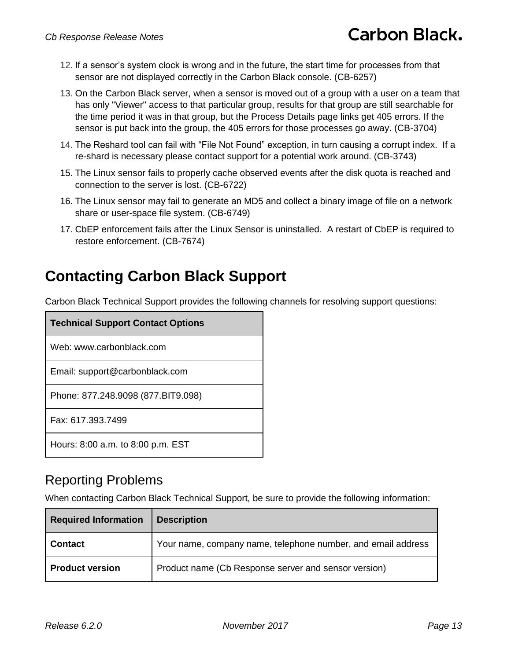- 12. If a sensor's system clock is wrong and in the future, the start time for processes from that sensor are not displayed correctly in the Carbon Black console. (CB-6257)
- 13. On the Carbon Black server, when a sensor is moved out of a group with a user on a team that has only "Viewer" access to that particular group, results for that group are still searchable for the time period it was in that group, but the Process Details page links get 405 errors. If the sensor is put back into the group, the 405 errors for those processes go away. (CB-3704)
- 14. The Reshard tool can fail with "File Not Found" exception, in turn causing a corrupt index. If a re-shard is necessary please contact support for a potential work around. (CB-3743)
- 15. The Linux sensor fails to properly cache observed events after the disk quota is reached and connection to the server is lost. (CB-6722)
- 16. The Linux sensor may fail to generate an MD5 and collect a binary image of file on a network share or user-space file system. (CB-6749)
- 17. CbEP enforcement fails after the Linux Sensor is uninstalled. A restart of CbEP is required to restore enforcement. (CB-7674)

# <span id="page-12-0"></span>**Contacting Carbon Black Support**

Carbon Black Technical Support provides the following channels for resolving support questions:

| <b>Technical Support Contact Options</b> |  |  |
|------------------------------------------|--|--|
| Web: www.carbonblack.com                 |  |  |
| Email: support@carbonblack.com           |  |  |
| Phone: 877.248.9098 (877.BIT9.098)       |  |  |
| Fax: 617.393.7499                        |  |  |
| Hours: 8:00 a.m. to 8:00 p.m. EST        |  |  |

### Reporting Problems

When contacting Carbon Black Technical Support, be sure to provide the following information:

| <b>Required Information</b> | <b>Description</b>                                           |
|-----------------------------|--------------------------------------------------------------|
| <b>Contact</b>              | Your name, company name, telephone number, and email address |
| <b>Product version</b>      | Product name (Cb Response server and sensor version)         |